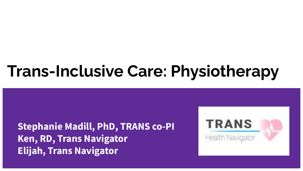# **Trans-Inclusive Care: Physiotherapy**

**Stephanie Madill, PhD, TRANS co-PI Ken, RD, Trans Navigator Elijah, Trans Navigator**

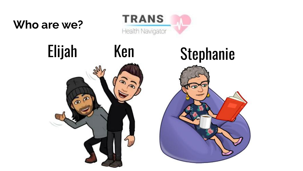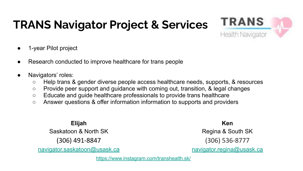## **TRANS Navigator Project & Services**



- 1-year Pilot project
- Research conducted to improve healthcare for trans people
- Navigators' roles:
	- Help trans & gender diverse people access healthcare needs, supports, & resources
	- Provide peer support and guidance with coming out, transition, & legal changes
	- Educate and guide healthcare professionals to provide trans healthcare
	- Answer questions & offer information information to supports and providers

**Elijah** Saskatoon & North SK (306) 491-8847 [navigator.saskatoon@usask.ca](mailto:navigator.saskatoon@usask.ca)

**Ken** Regina & South SK (306) 536-8777 [navigator.regina@usask.ca](mailto:navigator.regina@usassk.ca)

<https://www.instagram.com/transhealth.sk/>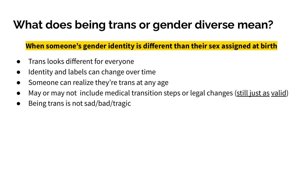### **What does being trans or gender diverse mean?**

**When someone's gender identity is different than their sex assigned at birth**

- Trans looks different for everyone
- Identity and labels can change over time
- Someone can realize they're trans at any age
- May or may not include medical transition steps or legal changes (still just as valid)
- Being trans is not sad/bad/tragic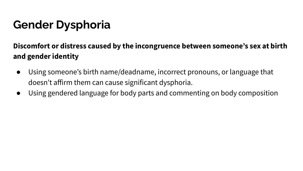## **Gender Dysphoria**

#### **Discomfort or distress caused by the incongruence between someone's sex at birth and gender identity**

- Using someone's birth name/deadname, incorrect pronouns, or language that doesn't affirm them can cause significant dysphoria.
- Using gendered language for body parts and commenting on body composition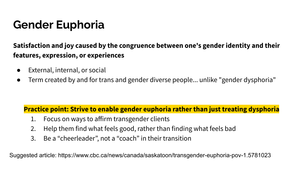### **Gender Euphoria**

**Satisfaction and joy caused by the congruence between one's gender identity and their features, expression, or experiences**

- External, internal, or social
- Term created by and for trans and gender diverse people... unlike "gender dysphoria"

#### **Practice point: Strive to enable gender euphoria rather than just treating dysphoria**

- 1. Focus on ways to affirm transgender clients
- 2. Help them find what feels good, rather than finding what feels bad
- 3. Be a "cheerleader", not a "coach" in their transition

Suggested article: https://www.cbc.ca/news/canada/saskatoon/transgender-euphoria-pov-1.5781023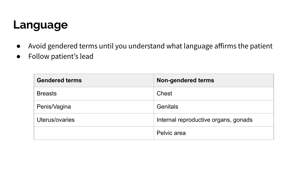### **Language**

- Avoid gendered terms until you understand what language affirms the patient
- Follow patient's lead

| <b>Gendered terms</b> | <b>Non-gendered terms</b>            |
|-----------------------|--------------------------------------|
| <b>Breasts</b>        | Chest                                |
| Penis/Vagina          | <b>Genitals</b>                      |
| Uterus/ovaries        | Internal reproductive organs, gonads |
|                       | Pelvic area                          |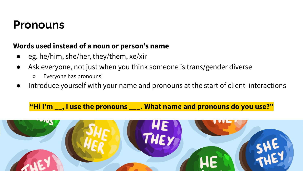### **Pronouns**

#### **Words used instead of a noun or person's name**

- **●** eg. he/him, she/her, they/them, xe/xir
- Ask everyone, not just when you think someone is trans/gender diverse
	- Everyone has pronouns!
- Introduce yourself with your name and pronouns at the start of client interactions

**"Hi I'm \_\_, I use the pronouns \_\_\_. What name and pronouns do you use?"**

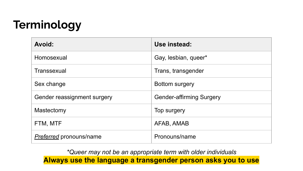## **Terminology**

| <b>Avoid:</b>                  | Use instead:                    |
|--------------------------------|---------------------------------|
| Homosexual                     | Gay, lesbian, queer*            |
| Transsexual                    | Trans, transgender              |
| Sex change                     | Bottom surgery                  |
| Gender reassignment surgery    | <b>Gender-affirming Surgery</b> |
| Mastectomy                     | Top surgery                     |
| FTM, MTF                       | AFAB, AMAB                      |
| <b>Preferred</b> pronouns/name | Pronouns/name                   |

*\*Queer may not be an appropriate term with older individuals* **Always use the language a transgender person asks you to use**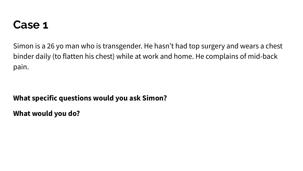### **Case 1**

Simon is a 26 yo man who is transgender. He hasn't had top surgery and wears a chest binder daily (to flatten his chest) while at work and home. He complains of mid-back pain.

#### **What specific questions would you ask Simon?**

**What would you do?**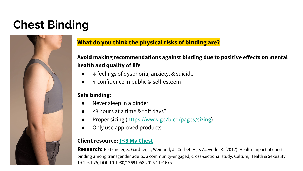## **Chest Binding**



#### **What do you think the physical risks of binding are?**

#### **Avoid making recommendations against binding due to positive effects on mental health and quality of life**

- $\downarrow$  feelings of dysphoria, anxiety, & suicide
- ↑ confidence in public & self-esteem

#### **Safe binding:**

- Never sleep in a binder
- <8 hours at a time & "off days"
- Proper sizing ([https://www.gc2b.co/pages/sizing\)](https://www.gc2b.co/pages/sizing)
- Only use approved products

#### **Client resource: [I <3 My Chest](https://qmunity.ca/resources/i-heart-my-chest/)**

**Research:** Peitzmeier, S. Gardner, I., Weinand, J., Corbet, A., & Acevedo, K. (2017). Health impact of chest binding among transgender adults: a community-engaged, cross-sectional study. Culture, Health & Sexuality, 19:1, 64-75, DOI: [10.1080/13691058.2016.1191675](https://doi-org.cyber.usask.ca/10.1080/13691058.2016.1191675)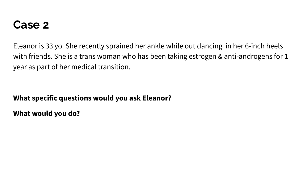### **Case 2**

Eleanor is 33 yo. She recently sprained her ankle while out dancing in her 6-inch heels with friends. She is a trans woman who has been taking estrogen & anti-androgens for 1 year as part of her medical transition.

#### **What specific questions would you ask Eleanor?**

**What would you do?**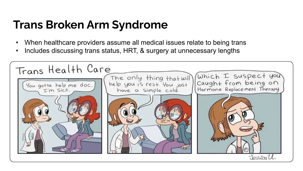### **Trans Broken Arm Syndrome**

- When healthcare providers assume all medical issues relate to being trans
- Includes discussing trans status, HRT, & surgery at unnecessary lengths

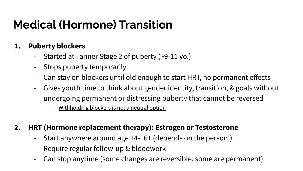## **Medical (Hormone) Transition**

#### **1. Puberty blockers**

- Started at Tanner Stage 2 of puberty (~9-11 yo.)
- Stops puberty temporarily
- Can stay on blockers until old enough to start HRT, no permanent effects
- Gives youth time to think about gender identity, transition, & goals without undergoing permanent or distressing puberty that cannot be reversed
	- Withholding blockers is not a neutral option
- **2. HRT (Hormone replacement therapy): Estrogen or Testosterone**
	- Start anywhere around age 14-16+ (depends on the person!)
	- Require regular follow-up & bloodwork
	- Can stop anytime (some changes are reversible, some are permanent)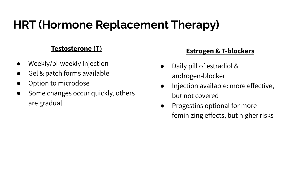## **HRT (Hormone Replacement Therapy)**

#### **Testosterone (T)**

- Weekly/bi-weekly injection
- Gel & patch forms available
- Option to microdose
- Some changes occur quickly, others are gradual

#### **Estrogen & T-blockers**

- Daily pill of estradiol & androgen-blocker
- Injection available: more effective, but not covered
- Progestins optional for more feminizing effects, but higher risks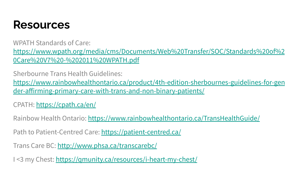### **Resources**

WPATH Standards of Care: [https://www.wpath.org/media/cms/Documents/Web%20Transfer/SOC/Standards%20of%2](https://www.wpath.org/media/cms/Documents/Web%20Transfer/SOC/Standards%20of%20Care%20V7%20-%202011%20WPATH.pdf) [0Care%20V7%20-%202011%20WPATH.pdf](https://www.wpath.org/media/cms/Documents/Web%20Transfer/SOC/Standards%20of%20Care%20V7%20-%202011%20WPATH.pdf)

Sherbourne Trans Health Guidelines: [https://www.rainbowhealthontario.ca/product/4th-edition-sherbournes-guidelines-for-gen](https://www.rainbowhealthontario.ca/product/4th-edition-sherbournes-guidelines-for-gender-affirming-primary-care-with-trans-and-non-binary-patients/) [der-affirming-primary-care-with-trans-and-non-binary-patients/](https://www.rainbowhealthontario.ca/product/4th-edition-sherbournes-guidelines-for-gender-affirming-primary-care-with-trans-and-non-binary-patients/)

CPATH: <https://cpath.ca/en/>

Rainbow Health Ontario:<https://www.rainbowhealthontario.ca/TransHealthGuide/>

Path to Patient-Centred Care: <https://patient-centred.ca/>

Trans Care BC: <http://www.phsa.ca/transcarebc/>

I <3 my Chest: <https://qmunity.ca/resources/i-heart-my-chest/>